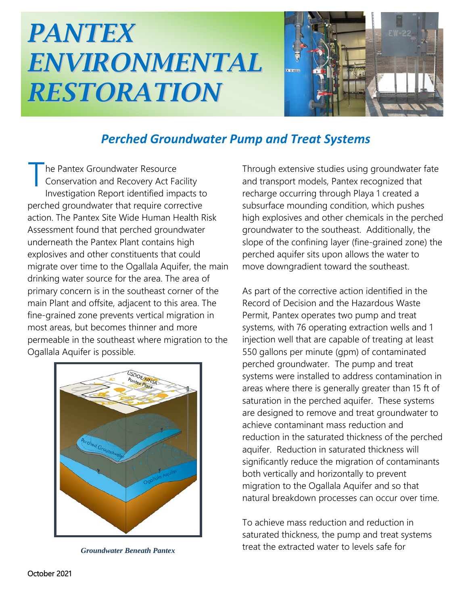## *PANTEX ENVIRONMENTAL RESTORATION*



## *Perched Groundwater Pump and Treat Systems*

he Pantex Groundwater Resource Conservation and Recovery Act Facility Investigation Report identified impacts to perched groundwater that require corrective action. The Pantex Site Wide Human Health Risk Assessment found that perched groundwater underneath the Pantex Plant contains high explosives and other constituents that could migrate over time to the Ogallala Aquifer, the main drinking water source for the area. The area of primary concern is in the southeast corner of the main Plant and offsite, adjacent to this area. The fine-grained zone prevents vertical migration in most areas, but becomes thinner and more permeable in the southeast where migration to the Ogallala Aquifer is possible. T



*Groundwater Beneath Pantex*

Through extensive studies using groundwater fate and transport models, Pantex recognized that recharge occurring through Playa 1 created a subsurface mounding condition, which pushes high explosives and other chemicals in the perched groundwater to the southeast. Additionally, the slope of the confining layer (fine-grained zone) the perched aquifer sits upon allows the water to move downgradient toward the southeast.

As part of the corrective action identified in the Record of Decision and the Hazardous Waste Permit, Pantex operates two pump and treat systems, with 76 operating extraction wells and 1 injection well that are capable of treating at least 550 gallons per minute (gpm) of contaminated perched groundwater. The pump and treat systems were installed to address contamination in areas where there is generally greater than 15 ft of saturation in the perched aquifer. These systems are designed to remove and treat groundwater to achieve contaminant mass reduction and reduction in the saturated thickness of the perched aquifer. Reduction in saturated thickness will significantly reduce the migration of contaminants both vertically and horizontally to prevent migration to the Ogallala Aquifer and so that natural breakdown processes can occur over time.

To achieve mass reduction and reduction in saturated thickness, the pump and treat systems treat the extracted water to levels safe for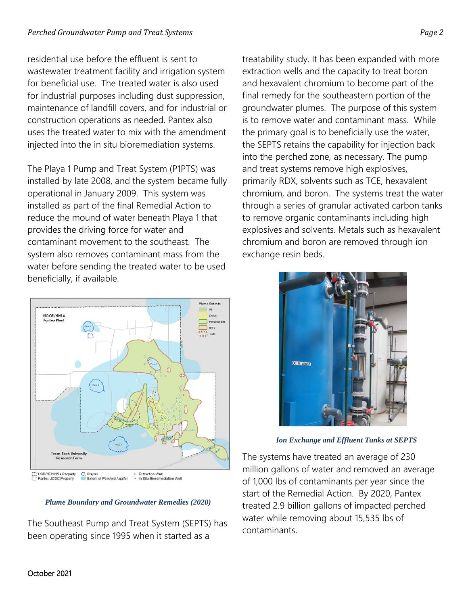residential use before the effluent is sent to wastewater treatment facility and irrigation system for beneficial use. The treated water is also used for industrial purposes including dust suppression, maintenance of landfill covers, and for industrial or construction operations as needed. Pantex also uses the treated water to mix with the amendment injected into the in situ bioremediation systems.

The Playa 1 Pump and Treat System (P1PTS) was installed by late 2008, and the system became fully operational in January 2009. This system was installed as part of the final Remedial Action to reduce the mound of water beneath Playa 1 that provides the driving force for water and contaminant movement to the southeast. The system also removes contaminant mass from the water before sending the treated water to be used beneficially, if available.



*Plume Boundary and Groundwater Remedies (2020)*

The Southeast Pump and Treat System (SEPTS) has been operating since 1995 when it started as a

treatability study. It has been expanded with more extraction wells and the capacity to treat boron and hexavalent chromium to become part of the final remedy for the southeastern portion of the groundwater plumes. The purpose of this system is to remove water and contaminant mass. While the primary goal is to beneficially use the water, the SEPTS retains the capability for injection back into the perched zone, as necessary. The pump and treat systems remove high explosives, primarily RDX, solvents such as TCE, hexavalent chromium, and boron. The systems treat the water through a series of granular activated carbon tanks to remove organic contaminants including high explosives and solvents. Metals such as hexavalent chromium and boron are removed through ion exchange resin beds.



*Ion Exchange and Effluent Tanks at SEPTS*

The systems have treated an average of 230 million gallons of water and removed an average of 1,000 lbs of contaminants per year since the start of the Remedial Action. By 2020, Pantex treated 2.9 billion gallons of impacted perched water while removing about 15,535 lbs of contaminants.